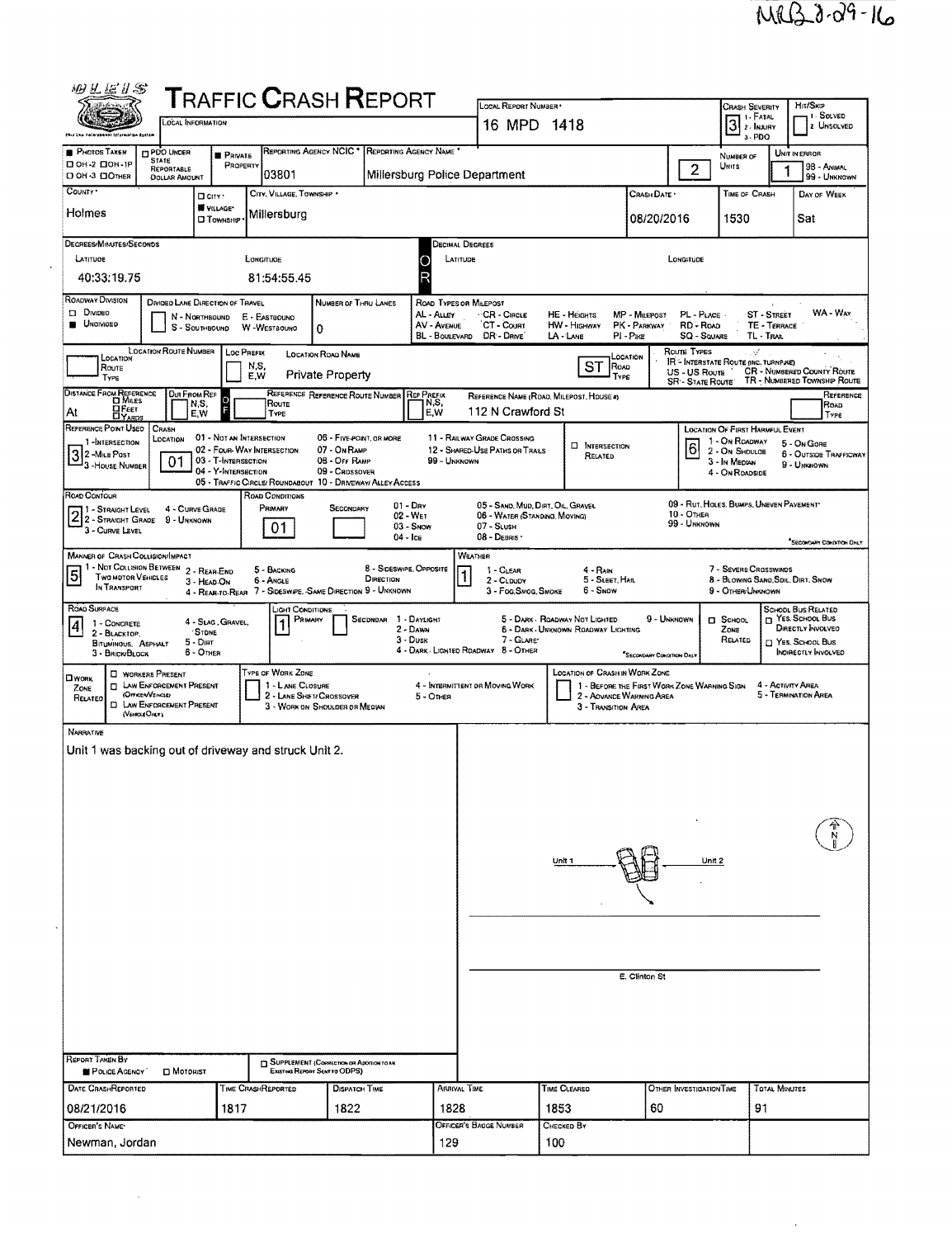$\overline{\mathcal{F}}_{\mathcal{G}}$ 

| 烟孔医孔念                                                                                                                     |                                                                      |                                                                                                      |                                                                                                      | <b>TRAFFIC CRASH REPORT</b>                                                                                                                |                                                               | LOCAL REPORT NUMBER                                                                             |                                                                                          |                                             |                                               | Crash Severity                                                                                          |                                          | Hit/Skip                                                                                                             |
|---------------------------------------------------------------------------------------------------------------------------|----------------------------------------------------------------------|------------------------------------------------------------------------------------------------------|------------------------------------------------------------------------------------------------------|--------------------------------------------------------------------------------------------------------------------------------------------|---------------------------------------------------------------|-------------------------------------------------------------------------------------------------|------------------------------------------------------------------------------------------|---------------------------------------------|-----------------------------------------------|---------------------------------------------------------------------------------------------------------|------------------------------------------|----------------------------------------------------------------------------------------------------------------------|
|                                                                                                                           | LOCAL INFORMATION                                                    |                                                                                                      |                                                                                                      |                                                                                                                                            |                                                               | 16 MPD 1418                                                                                     |                                                                                          |                                             |                                               | 3 <sup>1. FATAL</sup><br>3-PDO                                                                          |                                          | 1 - SOLVED<br><b>12 UNSOLVED</b>                                                                                     |
| <b>PHOTOS TAKEN</b><br>□ 0Н-2 □ 0Н-1Р                                                                                     | <b>PDO UNDER</b><br><b>STATE</b>                                     | <b>PRIVATE</b>                                                                                       | REPORTING AGENCY NCIC <sup>+</sup>                                                                   |                                                                                                                                            | REPORTING AGENCY NAME                                         |                                                                                                 |                                                                                          |                                             |                                               | NUMBER OF                                                                                               |                                          | UNIT IN ERROR                                                                                                        |
| D OH -3 DOTHER                                                                                                            | REPORTABLE<br>DOLLAR AMOUNT                                          | PROPERTY                                                                                             | 103801                                                                                               |                                                                                                                                            | Millersburg Police Department                                 |                                                                                                 |                                                                                          |                                             | $\overline{2}$                                | Units                                                                                                   |                                          | 98 - ANIMAL<br>99 - UNKNOWN                                                                                          |
| COUNTY *<br>Holmes                                                                                                        | D CITY *<br>VILLAGE*                                                 |                                                                                                      | CITY, VILLAGE, TOWNSHIP .                                                                            |                                                                                                                                            |                                                               |                                                                                                 |                                                                                          | Crash Date *                                |                                               | TIME OF CRASH                                                                                           |                                          | DAY OF WEEK                                                                                                          |
|                                                                                                                           | <b>CI TOWNSHIP</b>                                                   |                                                                                                      | Millersburg                                                                                          |                                                                                                                                            |                                                               |                                                                                                 |                                                                                          | 08/20/2016                                  |                                               | 1530                                                                                                    |                                          | Sat                                                                                                                  |
| DEGREES/MINUTES/SECONDS<br>LATITUOE                                                                                       |                                                                      | LONGITUDE                                                                                            |                                                                                                      |                                                                                                                                            | Decimal Degrees<br>LATITUDE<br>O                              |                                                                                                 |                                                                                          |                                             | LONGITUDE                                     |                                                                                                         |                                          |                                                                                                                      |
| 40:33:19.75                                                                                                               |                                                                      |                                                                                                      | 81:54:55.45                                                                                          |                                                                                                                                            | R                                                             |                                                                                                 |                                                                                          |                                             |                                               |                                                                                                         |                                          |                                                                                                                      |
| <b>ROADWAY DIVISION</b><br>$\square$ Divideo<br><b>UNOIVIDED</b>                                                          | DIVIDED LANE DIRECTION OF TRAVEL<br>N - NORTHBOUND<br>S - SouthBound | E - EASTBOUND<br>W-WESTBOUND                                                                         | 0                                                                                                    | NUMBER OF THRU LANES                                                                                                                       | ROAD TYPES OR MILEPOST<br>AL - ALLEY<br>AV - AVENUE           | · CR - Circle<br>CT - Count<br>BL - BOULEVARD DR - DRIVE                                        | HE - HEIGHTS<br>HW - HIGHWAY<br>LA - LANE                                                | MP - Milepost<br>PK - PARKWAY<br>PI - Pike  | PL - PLACE<br>RD - Road<br><b>SQ - SOUARE</b> |                                                                                                         | ST - STREET<br>TE - TERRACE<br>TL - TRAR | WA - Way                                                                                                             |
| LOCATION<br>Route<br>TYPE                                                                                                 | <b>LOCATION ROUTE NUMBER</b>                                         | Loc PREFIX<br>N,S,<br>E.W                                                                            | <b>LOCATION ROAD NAME</b><br><b>Private Property</b>                                                 |                                                                                                                                            |                                                               |                                                                                                 | <b>ST</b><br>ROAD<br>TYPE                                                                | LOCATION                                    | Route Types<br>US - US Roure                  | V.<br>IR - INTERSTATE ROUTE (INC. TURNPIKE)                                                             |                                          | <b>CR - NUMBERED COUNTY ROUTE</b>                                                                                    |
| <b>DISTANCE FROM REFERENCE</b>                                                                                            | DIR FROM REF                                                         |                                                                                                      | Route                                                                                                | REFERENCE REFERENCE ROUTE NUMBER REP PREEIX                                                                                                | N,S,                                                          |                                                                                                 | REFERENCE NAME (ROAO, MILEPOST, HOUSE #)                                                 |                                             | <b>SR - STATE ROUTE</b>                       |                                                                                                         |                                          | TR - NUMBERED TOWNSHIP ROUTE<br>REFERENCE                                                                            |
| ∐F∈єт<br>At<br><b>DYARDS</b><br>REFERENCE POINT USED                                                                      | N,S,<br>E.W<br>CRASH                                                 |                                                                                                      | TYPE                                                                                                 |                                                                                                                                            | E.W                                                           | 112 N Crawford St                                                                               |                                                                                          |                                             |                                               |                                                                                                         |                                          | ROAD<br>Type                                                                                                         |
| 1-INTERSECTION<br>3 2-Mile Post<br>3-House Number                                                                         | LOCATION<br>01                                                       | 01 - NOT AN INTERSECTION<br>02 - FOUR-WAY INTERSECTION<br>03 - T-INTERSECTION<br>04 - Y-INTERSECTION |                                                                                                      | 06 - FIVE POINT, OR MORE<br>07 - On RAMP<br>08 - Off RAMP<br>09 - CROSSOVER<br>05 - TRAFFIC CIRCLE/ ROUNDABOUT 10 - DRIVEWAY/ ALLEY ACCESS | 99 - UNKNOWN                                                  | 11 - RAILWAY GRADE CROSSING<br>12 - SHARED-USE PATHS OR TRAILS                                  | <b>NITERSECTION</b><br>RELATED                                                           |                                             | $\overline{6}$                                | LOCATION OF FIRST HARMFUL EVENT<br>1 - On Roadway<br>2 - On Shoulde<br>3 - In Median<br>4 - On ROADSIDE |                                          | 5 - On Gone<br><b>6 - OUTSIDE TRAFFICWAY</b><br>9 - UNKNOWN                                                          |
| ROAD CONTOUR<br>$2^1$ - Straight Level<br>3 - CURVE LEVEL                                                                 | 4 - CURVE GRADE<br>9 - UNKNOWN                                       |                                                                                                      | ROAD CONDITIONS<br>PRIMARY<br>01                                                                     | SECONDARY                                                                                                                                  | $01 - \text{Day}$<br>$02 - W_{ET}$<br>03 - Snow<br>$04 -$ ICE | 05 - SAND, MUD, DIRT, OIL, GRAVEL<br>06 - WATER (STANDING, MOVING)<br>07 - SLUSH<br>08 - DEBRIS |                                                                                          |                                             | 10 - OTHER<br>99 - UNKNOWN                    | 09 - RUT, HOLES, BUMPS, UNEVEN PAVEMENT                                                                 |                                          | SECOKUARY COHDITION ONLY                                                                                             |
| <b>MANNER OF CRASH COLLISION/IMPACT</b><br>1 - Not Collision Between 2 - Rear-End<br>5 Two motor Vehicles<br>In TRANSPORT | 3 - HEAD-ON                                                          |                                                                                                      | 5 - BACKING<br>6 - ANGLE                                                                             | DIRECTION<br>4 - REAR-TO-REAR 7 - SIDESWIPE, SAME DIRECTION 9 - UNKNOWN                                                                    | 8 - Sideswipe, Opposite                                       | WEATHER<br>1 - CLEAR<br>2 - CLDUDY<br>3 - Fog, Smog, Smoke                                      | $4 - RAM$<br>5 - SLEET, HAIL<br>6 SNOW                                                   |                                             |                                               | 7 - SEVERE CROSSWINDS<br>8 - BLOWING SAND, SDIL, DIRT, SNOW<br>9 - OTHER/UNKNOWN                        |                                          |                                                                                                                      |
| ROAD SURFACE<br>1 - CONCRETE<br> 4 <br>2 - BLACKTOP.<br>BITUMINOUS, ASPHALT<br>3 - BRICK/BLOCK                            | 4 - Slag, Gravel,<br><b>STONE</b><br>$5 -$ DIRT<br>$6 -$ OTHER       |                                                                                                      | LIGHT CONDITIONS<br>PRIMARY                                                                          | SECONDAR 1 - DAYLIGHT                                                                                                                      | 2 - DAWN<br>$3 - D$ USK                                       | 7 - GLARE'<br>4 - DARK - LIGHTED RDADWAY 8 - OTHER                                              | 5 - DARK - ROADWAY NOT LIGHTED<br>6 - DARK - UNKNOWN ROADWAY LIGHTING                    | 9 - UNKNOWN<br>"SECONDARY CONDITION ONL     |                                               | <b>D</b> SCHOOL<br>ZONE<br>RELATED                                                                      |                                          | <b>SCHODL BUS RELATED</b><br>T YES. SCHOOL BUS<br>DIRECTLY INVOLVED<br>$\Box$ Yes, School Bus<br>INDIRECTLY INVOLVED |
| <b>U</b> WORKERS PRESENT<br><b>LI WORK</b><br>ZONE<br>(OFFICER/VENCEE)<br>RELATED<br>(VEHOLE ONLY)                        | <b>D LAW ENFORCEMENT PRESENT</b><br><b>D</b> LAW ENFORCEMENT PRESENT |                                                                                                      | TYPE OF WORK ZONE<br>1 - LANE CLOSURE<br>2 - LANE SHIFT/ CROSSOVER<br>3 - WORK ON SHOULDER OR MEDIAN |                                                                                                                                            | 5 - OTHER                                                     | 4 - INTERMITTENT DR MOVING WORK                                                                 | <b>LOCATION OF CRASH IN WORK ZONE</b><br>2 - AOVANCE WARNING AREA<br>3 - Transition Area | 1 - BEFORE THE FIRST WORK ZONE WARNING SIGN |                                               |                                                                                                         | 4 - ACTIVITY AREA                        | 5 - TERMINATION AREA                                                                                                 |
| NARRATIVE<br>Unit 1 was backing out of driveway and struck Unit 2.                                                        |                                                                      |                                                                                                      |                                                                                                      |                                                                                                                                            |                                                               |                                                                                                 | Unit 1                                                                                   |                                             | Unit 2                                        |                                                                                                         |                                          |                                                                                                                      |
| REPORT TAKEN BY                                                                                                           |                                                                      |                                                                                                      |                                                                                                      | SUPPLEMENT (CORRECTION OR ADDITION TO AN                                                                                                   |                                                               |                                                                                                 |                                                                                          | E. Clinton St                               |                                               |                                                                                                         |                                          |                                                                                                                      |
| POLICE AGENCY<br>DATE CRASHREPORTED                                                                                       | $\square$ Motorist                                                   | TIME CRASHREPORTED                                                                                   | EXISTING REPORT SENT TO ODPS).                                                                       | DISPATCH TIME                                                                                                                              | <b>ARRIVAL TIME</b>                                           |                                                                                                 | TIME CLEARED                                                                             |                                             | OTHER INVESTIGATION TIME                      |                                                                                                         | <b>TOTAL MINUTES</b>                     |                                                                                                                      |
| 08/21/2016                                                                                                                |                                                                      | 1817                                                                                                 |                                                                                                      | 1822                                                                                                                                       | 1828                                                          |                                                                                                 | 1853                                                                                     | 60                                          |                                               |                                                                                                         | 91                                       |                                                                                                                      |
| OFFICER'S NAME                                                                                                            |                                                                      |                                                                                                      |                                                                                                      |                                                                                                                                            |                                                               | OFFICER'S BADGE NUMBER                                                                          | Снескер Ву                                                                               |                                             |                                               |                                                                                                         |                                          |                                                                                                                      |
| Newman, Jordan                                                                                                            |                                                                      |                                                                                                      |                                                                                                      |                                                                                                                                            | 129                                                           |                                                                                                 | 100                                                                                      |                                             |                                               |                                                                                                         |                                          |                                                                                                                      |

 $\mathcal{L}^{\text{max}}_{\text{max}}$  and  $\mathcal{L}^{\text{max}}_{\text{max}}$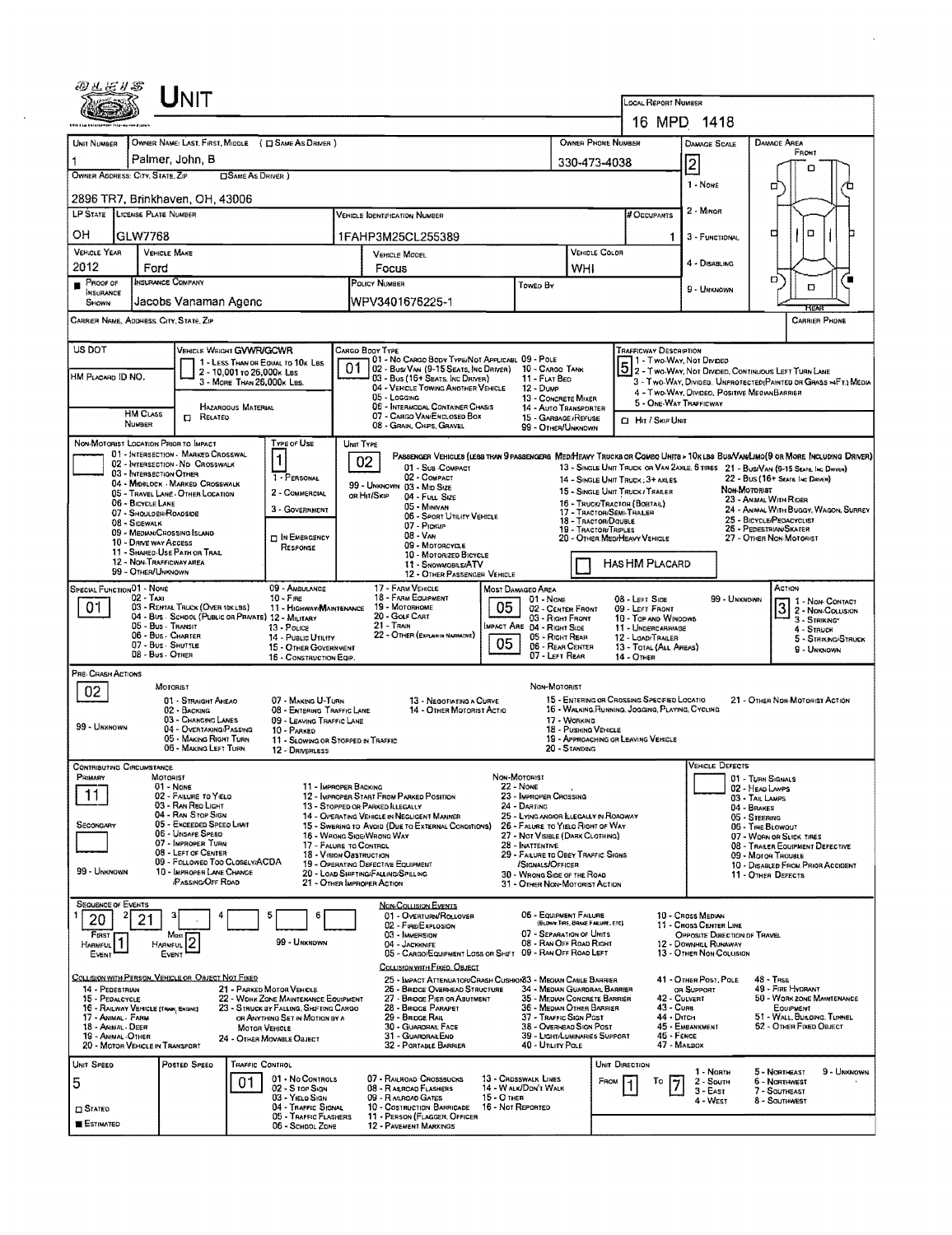| UNIT                                                                                                                                               |                                                                                                      |                                                                                       |                                                                                                                      |                                                        |                                                                                                                              |  |  |  |  |  |  |  |
|----------------------------------------------------------------------------------------------------------------------------------------------------|------------------------------------------------------------------------------------------------------|---------------------------------------------------------------------------------------|----------------------------------------------------------------------------------------------------------------------|--------------------------------------------------------|------------------------------------------------------------------------------------------------------------------------------|--|--|--|--|--|--|--|
|                                                                                                                                                    | LOCAL REPORT NUMBER                                                                                  | 16 MPD 1418                                                                           |                                                                                                                      |                                                        |                                                                                                                              |  |  |  |  |  |  |  |
| OWNER NAME: LAST, FIRST, MIDDLE ( C SAME AS DRIVER )<br>UNIT NUMBER                                                                                |                                                                                                      | OWNER PHONE NUMBER                                                                    |                                                                                                                      |                                                        | <b>DAMAGE AREA</b>                                                                                                           |  |  |  |  |  |  |  |
| Palmer, John, B<br>1                                                                                                                               |                                                                                                      | 330-473-4038                                                                          |                                                                                                                      | <b>DAMAGE SCALE</b>                                    | FRONT                                                                                                                        |  |  |  |  |  |  |  |
| OWNER ADDRESS: CITY, STATE, ZIP<br><b>CISAME AS DRIVER</b> )                                                                                       | 2<br>1 - None                                                                                        | n                                                                                     |                                                                                                                      |                                                        |                                                                                                                              |  |  |  |  |  |  |  |
| 2896 TR7, Brinkhaven, OH, 43006                                                                                                                    |                                                                                                      |                                                                                       |                                                                                                                      |                                                        | □                                                                                                                            |  |  |  |  |  |  |  |
| LP STATE LICENSE PLATE NUMBER                                                                                                                      | <b>VEHICLE IDENTIFICATION NUMBER</b>                                                                 |                                                                                       | # Occupants                                                                                                          | 2 - MINOR                                              |                                                                                                                              |  |  |  |  |  |  |  |
| OН<br>GLW7768                                                                                                                                      | 1FAHP3M25CL255389                                                                                    |                                                                                       | 1                                                                                                                    | 3 - FUNCTIONAL                                         | α<br>₫                                                                                                                       |  |  |  |  |  |  |  |
| <b>VEHICLE YEAR</b><br>VEHICLE MAKE<br>2012<br>Ford                                                                                                | VEHICLE MODEL<br>Focus                                                                               | VEHICLE COLOR<br>WHI                                                                  |                                                                                                                      | 4 - DISABLING                                          |                                                                                                                              |  |  |  |  |  |  |  |
| <b>INSURANCE COMPANY</b><br>Proof of<br>INSURANCE                                                                                                  | POLICY NUMBER                                                                                        | Towed By                                                                              |                                                                                                                      | 9 - Unknown                                            | о<br>O                                                                                                                       |  |  |  |  |  |  |  |
| Jacobs Vanaman Agenc<br>SHOWN                                                                                                                      | WPV3401676225-1                                                                                      |                                                                                       |                                                                                                                      |                                                        |                                                                                                                              |  |  |  |  |  |  |  |
| CARRIER NAME, ADDRESS, CITY, STATE, ZIP                                                                                                            | <b>CARRIER PHONE</b>                                                                                 |                                                                                       |                                                                                                                      |                                                        |                                                                                                                              |  |  |  |  |  |  |  |
| US DOT<br>VEHICLE WEIGHT GVWR/GCWR<br><b>TRAFFICWAY DESCRIPTION</b><br>Cargo Body Type<br>01 - No CARGO BODY TYPE/NOT APPLICABL 09 - POLE          |                                                                                                      |                                                                                       |                                                                                                                      |                                                        |                                                                                                                              |  |  |  |  |  |  |  |
| 1 - LESS THAN OR EQUAL TO 10K LBS<br>2 - 10,001 to 26,000x Lss<br>HM PLACARO ID NO.                                                                | 02 - Bus/Van (9-15 Seats, Inc Driver)<br>03 - Bus (16+ Seats, Inc Driver)                            | 10 - Cargo Tank<br>11 - FLAT BEO                                                      |                                                                                                                      |                                                        | 1 - TWO-WAY, NOT DIVIDED<br>5 2 - TWO-WAY, NOT DIVIDEO, CONTINUOUS LEFT TURN LANE                                            |  |  |  |  |  |  |  |
| 3 - MORE THAN 26,000K LBS.                                                                                                                         | 04 - VEHICLE TOWING ANOTHER VEHICLE<br>$05 -$ Logging                                                | 12 - Dump<br>13 - CONCRETE MIXER                                                      |                                                                                                                      | 4 - Two-Way, Divideo, Positive Median Barrier          | 3 - Two-Way, Divideo, Unprotected (Painted or Grass >4FT) Media                                                              |  |  |  |  |  |  |  |
| <b>HAZAROOUS MATERIAL</b><br><b>HM CLASS</b><br><b>CI RELATED</b><br><b>NUMBER</b>                                                                 | 05 - INTERMODAL CONTAINER CHASIS<br>07 - CARGO VAN ENCLOSED BOX                                      | 14 - AUTO TRANSPORTER<br>15 - GARBAGE / REFUSE                                        | 5 - ONE-WAY TRAFFICWAY<br>CI Hir / Skip Unit                                                                         |                                                        |                                                                                                                              |  |  |  |  |  |  |  |
| NON-MOTORIST LOCATION PRIOR TO IMPACT<br>TYPE OF USE                                                                                               | 08 - GRAIN, CHIPS, GRAVEL<br>UNIT TYPE                                                               | 99 - OTHER/UNKNOWN                                                                    |                                                                                                                      |                                                        |                                                                                                                              |  |  |  |  |  |  |  |
| 01 - INTERSECTION - MARKED CROSSWAL<br>$\mathbf{1}$<br>02 - INTERSECTION - NO CROSSWALK                                                            | 02                                                                                                   |                                                                                       |                                                                                                                      |                                                        | PASSENGER VEHICLES (LESS THAN 9 PASSENGERS MEDIMEAVY TRUCKS OR COMBO UNITS > 10KLBS BUS/VAN/LIMO(9 OR MORE INCLUDING DRIVER) |  |  |  |  |  |  |  |
| 03 - INTERSECTION OTHER<br>1 - PERSONAL<br>04 - MIDBLOCK - MARKED CROSSWALK                                                                        | 01 - Sub COMPACT<br>02 - COMPACT<br>99 - UNKNOWN 03 - MID SIZE                                       |                                                                                       | 14 - SINGLE UNIT TRUCK: 3+ AXLES                                                                                     |                                                        | 13 - SINGLE UNIT TRUCK OR VAN 2AXLE, 6 TIRES 21 - BUS/VAN (9-15 SEATS, INC DRIVER)<br>22 - BUS (16+ Sears, INC DRIVER)       |  |  |  |  |  |  |  |
| 2 - COMMERCIAL<br>05 - TRAVEL LANE - OTHER LOCATION<br>06 - BICYCLE LANE                                                                           | OR HIT/SKIP<br>04 - FULL SIZE<br>05 - MINIVAN                                                        | 16 - TRUCK/TRACTOR (BOBTAIL)                                                          | 15 - SINGLE UNIT TRUCK / TRAILER                                                                                     | <b>Non-Motorist</b>                                    | 23 - ANIMAL WITH RIDER                                                                                                       |  |  |  |  |  |  |  |
| 3 - GOVERNMENT<br>07 - SHOULDER/ROADSIDE<br>08 - SIDEWALK                                                                                          | <b>06 - SPORT UTILITY VEHICLE</b><br>07 - Pickup                                                     | 18 - TRACTOR/DOUBLE<br><b>19 - TRACTOR/TRIPLES</b>                                    | 24 - ANMAL WITH BUGGY, WAGON, SURREY<br>17 - TRACTOR/SEMI-TRALER<br>25 - BICYCLE/PEDACYCLIST<br>26 - PEDESTRUWSKATER |                                                        |                                                                                                                              |  |  |  |  |  |  |  |
| 09 - MEDIAN/CROSSING ISLAND<br><b>DIN EMERGENCY</b><br>10 - DRIVE WAY ACCESS<br>RESPONSE                                                           | $08 - V_{AN}$<br>09 - MOTORCYCLE                                                                     |                                                                                       | 20 - OTHER MEDIMEAVY VEHICLE<br>27 - OTHER NON-MOTORIST                                                              |                                                        |                                                                                                                              |  |  |  |  |  |  |  |
| 11 - SHARED-USE PATH OR TRAIL<br>10 - MOTORIZED BICYCLE<br>12 - NON-TRAFFICWAY AREA<br>HAS HM PLACARD<br>11 - SNOWMOBILE/ATV<br>99 - OTHER/UNKNOWN |                                                                                                      |                                                                                       |                                                                                                                      |                                                        |                                                                                                                              |  |  |  |  |  |  |  |
| 12 - OTHER PASSENGER VEHICLE<br>SPECIAL FUNCTION 01 - NONE<br>09 - AMBULANCE<br>17 - FARM VEHICLE<br>ACTION<br>MOST DAMAGEO AREA                   |                                                                                                      |                                                                                       |                                                                                                                      |                                                        |                                                                                                                              |  |  |  |  |  |  |  |
| $02 - TAXI$<br>$10 - F$ <sub>IRE</sub><br>01<br>03 - RENTAL TRUCK (OVER 10KLBS)<br>04 - Bus - SCHOOL (PUBLIC OR PRIVATE) 12 - MILITARY             | 18 - FARM EQUIPMENT<br>19 - Мотовноме<br>11 - HIGHWAY/MAINTENANCE<br>20 - Gour CART                  | $01 -$ None<br>05<br>02 - CENTER FRONT                                                | 99 - UNKNOWN<br>08 - LEFT SIDE<br>1 1 - Non-Contact<br>3 2 - Non-Coursion<br>09 - LEFT FRONT                         |                                                        |                                                                                                                              |  |  |  |  |  |  |  |
| 05 - Bus - Transit<br>13 - Pouce<br>06 - Bus - Charter<br>14 - PUBLIC UTILITY                                                                      | 21 - Train<br>22 - OTHER (EXPLAN IN NARRATIVE)                                                       | 03 - Right FRONT<br>MPACT ARE 04 - RIGHT SIDE<br>05 - RIGHT REAR                      | 10 - TOP AND WINDOWS<br>11 - UNDERCARRIAGE<br>12 - LOAD/TRAILER                                                      |                                                        | 3 - STRIKING*<br>4 - STRUCK<br>5 - STRINING/STRUCK                                                                           |  |  |  |  |  |  |  |
| 07 - Bus - SHUTTLE<br>08 - Bus - OTHER                                                                                                             | 15 - OTHER GOVERNMENT<br>16 - CONSTRUCTION EQIP.                                                     | 05<br>06 - REAR CENTER                                                                | 13 - TOTAL (ALL AREAS)<br>9 - Unknown<br>07 - LEFT REAR<br>$14 -$ Other                                              |                                                        |                                                                                                                              |  |  |  |  |  |  |  |
| PRE- CRASH ACTIONS                                                                                                                                 |                                                                                                      |                                                                                       |                                                                                                                      |                                                        |                                                                                                                              |  |  |  |  |  |  |  |
| <b>MOTORIST</b><br>02<br>01 - STRAIGHT AHEAD                                                                                                       | 07 - MAKING U-TURN<br>13 - NEGOTIATING A CURVE                                                       | Non-Motorist                                                                          | 15 - ENTERING OR CROSSING SPECIFIED LOCATIO                                                                          |                                                        | 21 - OTHER NON-MOTORIST ACTION                                                                                               |  |  |  |  |  |  |  |
| 02 - BACKING<br>03 - CHANGING LANES                                                                                                                | 14 - OTHER MOTORIST ACTIO<br>08 - ENTERING TRAFFIC LANE<br>09 - LEAVING TRAFFIC LANE                 | 17 - WORKING                                                                          | 16 - WALKING, RUNNING, JOGGING, PLAYING, CYCLING                                                                     |                                                        |                                                                                                                              |  |  |  |  |  |  |  |
| 99 - UNKNOWN<br>04 - OVERTAKING/PASSING<br>10 - PARKED<br>05 - MAKING RIGHT TURN                                                                   | 11 - Slowing or Stopped in Traffic                                                                   | 18 - PUSHING VEHICLE<br>19 - APPROACHING OR LEAVING VEHICLE                           |                                                                                                                      |                                                        |                                                                                                                              |  |  |  |  |  |  |  |
| 06 - MAKING LEFT TURN<br>12 - DRIVERLESS<br><b>CONTRIBUTING CIRCUMSTANCE</b>                                                                       |                                                                                                      | 20 - Standing                                                                         |                                                                                                                      | <b>VEHICLE DEFECTS</b>                                 |                                                                                                                              |  |  |  |  |  |  |  |
| <b>PRIMARY</b><br><b>MOTORIST</b><br>$01 - None$                                                                                                   | 11 - IMPROPER BACKING                                                                                | Non-Motorist<br>22 - NONE                                                             |                                                                                                                      |                                                        | 01 - TURN SIGNALS<br>02 - HEAD LAMPS                                                                                         |  |  |  |  |  |  |  |
| 11<br>02 - FAILURE TO YIELD<br>03 - RAN REO LIGHT                                                                                                  | 12 - IMPROPER START FROM PARKED POSITION<br>13 - STOPPED OR PARKED ILLEGALLY                         | 23 - IMPROPER CROSSING<br>24 - DARTING                                                |                                                                                                                      | 04 - BRAKES                                            | 03 - TAIL LAMPS                                                                                                              |  |  |  |  |  |  |  |
| 04 - RAN STOP SIGN<br>05 - Exceeded Speed Limit<br>Secondary                                                                                       | 14 - OPERATING VEHICLE IN NEGLIGENT MANNER<br>15 - Swering to Avoid (Due to External Conditions)     | 25 - LYING AND/OR LLEGALLY IN ROADWAY<br>26 - FALURE TO YIELD RIGHT OF WAY            |                                                                                                                      |                                                        | 05 - STEERING<br>06 - TIRE BLOWOUT                                                                                           |  |  |  |  |  |  |  |
| 06 - UNSAFE SPEED<br>07 - IMPROPER TURN<br>08 - LEFT OF CENTER                                                                                     | 16 - WRONG SIGE/WRONG WAY<br>17 - FALURE TO CONTROL                                                  | 27 - NOT VISIBLE (DARK CLOTHING)<br>28 - INATTENTIVE                                  |                                                                                                                      |                                                        | 07 - WORN OR SLICK TIRES<br>08 - TRAILER EQUIPMENT DEFECTIVE                                                                 |  |  |  |  |  |  |  |
| 09 - FOLLOWED TOO CLOSELY/ACDA<br>99 - UNKNOWN<br>10 - IMPROPER LANE CHANGE                                                                        | 18 - Vision Oastruction<br>19 - OPERATING DEFECTIVE EQUIPMENT<br>20 - LOAD SHIFTING/FALLING/SPILLING | 29 - FAILURE TO OBEY TRAFFIC SIGNS<br>/SIGNALS/OFFICER<br>30 - WRONG SIDE OF THE ROAD |                                                                                                                      |                                                        | 09 - MOTOR TROUBLE<br>10 - DISABLED FROM PRIOR ACCIDENT<br>11 - OTHER DEFECTS                                                |  |  |  |  |  |  |  |
| <b>PASSING OFF ROAD</b>                                                                                                                            | 21 - OTHER IMPROPER ACTION                                                                           | 31 - OTHER NON-MOTORIST ACTION                                                        |                                                                                                                      |                                                        |                                                                                                                              |  |  |  |  |  |  |  |
| <b>SEQUENCE OF EVENTS</b><br>20                                                                                                                    | <b>NON-COLLISION EVENTS</b><br>01 - OVERTURN/ROLLOVER<br>6                                           | 06 - EQUIPMENT FAILURE                                                                |                                                                                                                      | 10 - Cross Median                                      |                                                                                                                              |  |  |  |  |  |  |  |
| 21<br>FIRST<br>Most                                                                                                                                | 02 - FIRE/EXPLOSION<br>03 - IMMERSION                                                                | (BLOWN TIRE, BRAKE FAILUPE, ETC)<br>07 - SEPARATION OF UNITS                          |                                                                                                                      | 11 - Cross Center Line<br>OPPOSITE DIRECTION OF TRAVEL |                                                                                                                              |  |  |  |  |  |  |  |
| 2<br>99 - UNKNOWN<br><b>HARMFUL</b><br><b>HARMFUL</b><br>Event<br>EVENT                                                                            | 04 - JACKKNIFE<br>05 - CARGO/EQUIPMENT LOSS OR SHIFT 09 - RAN OFF ROAD LEFT                          | 08 - RAN OFF ROAD RIGHT                                                               |                                                                                                                      | 12 - DOWNHILL RUNAWAY<br>13 - OTHER NON-COLLISION      |                                                                                                                              |  |  |  |  |  |  |  |
| COLLISION WITH PERSON, VEHICLE OR OBJECT NOT FIXED                                                                                                 | COLLISION WITH FIXED, OBJECT                                                                         | 25 - IMPACT ATTENUATOR/CRASH CUSHION33 - MEDIAN CABLE BARRIER                         |                                                                                                                      | 41 - OTHER POST, POLE                                  | $48 - 7$ REE                                                                                                                 |  |  |  |  |  |  |  |
| 14 - PEDESTRIAN<br>21 - PARKED MOTOR VEHICLE<br>15 - PEDALCYCLE<br>22 - WORK ZONE MAINTENANCE EQUIPMENT                                            | 26 - BRIDGE OVERHEAD STRUCTURE<br>27 - BRIDGE PIER OR ABUTMENT                                       | 34 - Median Guardrall Barrier<br>35 - Median Concrete Barrier                         | 42 - CULVERT                                                                                                         | OR SUPPORT                                             | 49 - FIRE HYDRANT<br>50 - WORK ZONE MAINTENANCE                                                                              |  |  |  |  |  |  |  |
| 16 - RAILWAY VEHICLE (TRAIN, ENGINE)<br>23 - STRUCK BY FALLING, SHIFTING CARGO<br>17 - ANIMAL . FARM<br>OR ANYTHING SET IN MOTION BY A             | 28 - BRIDGE PARAPET<br>29 - BRIDGE RAIL                                                              | 36 - Median Other Barrier<br>37 - Traffic Sign Post                                   | 43 - Cuns<br>44 - Опсн                                                                                               |                                                        | EQUIPMENT<br>51 - WALL, BUILDING, TUNNEL                                                                                     |  |  |  |  |  |  |  |
| 18 - ANIMAL - DEER<br>MOTOR VEHICLE<br>19 - ANIMAL - OTHER<br>24 - Отная Movable Овлест<br>20 - MOTOR VEHICLE IN TRANSPORT                         | 30 - GUARDRAIL FACE<br>31 - GUARDRAILEND<br>32 - PORTABLE BARRIER                                    | 38 - Overhead Sign Post<br>39 - LIGHT/LUMINARIES SUPPORT<br>40 - UTILITY POLE         | 46 - FENCE<br>47 - Margox                                                                                            | 45 - EMBANKMENT                                        | 52 - OTHER FIXED OBJECT                                                                                                      |  |  |  |  |  |  |  |
| UNIT SPEED<br>Posted Speed<br><b>TRAFFIC CONTROL</b>                                                                                               |                                                                                                      |                                                                                       | Unit Direction                                                                                                       |                                                        |                                                                                                                              |  |  |  |  |  |  |  |
| 5<br>01<br>02 - S TOP SIGN                                                                                                                         | 07 - RAILROAD CROSSBUCKS<br>01 - No CONTROLS<br>08 - RALROAD FLASHERS                                | 13 - CROSSWALK LINES<br>FROM<br>14 - WALK/DON'T WALK                                  | To                                                                                                                   | 1 - North<br>2 - South                                 | 5 - NORTHEAST<br>9 - UNKNOWN<br>6 - NORTHWEST                                                                                |  |  |  |  |  |  |  |
| 03 - Yieup Sian<br>$\square$ Stated                                                                                                                | 09 - RALROAD GATES<br>04 - TRAFFIC SIGNAL<br>10 - COSTRUCTION BARRICADE                              | $15 - O$ THER<br>16 - Not Reported                                                    |                                                                                                                      | $3 - EAST$<br>4 - West                                 | 7 - SOUTHEAST<br>8 - SOUTHWEST                                                                                               |  |  |  |  |  |  |  |
| <b>ESTIMATED</b>                                                                                                                                   | 05 - TRAFFIC FLASHERS<br>11 - PERSON (FLAGGER, OFFICER<br>06 - School Zone<br>12 - PAVEMENT MARKINGS |                                                                                       |                                                                                                                      |                                                        |                                                                                                                              |  |  |  |  |  |  |  |

 $\sim$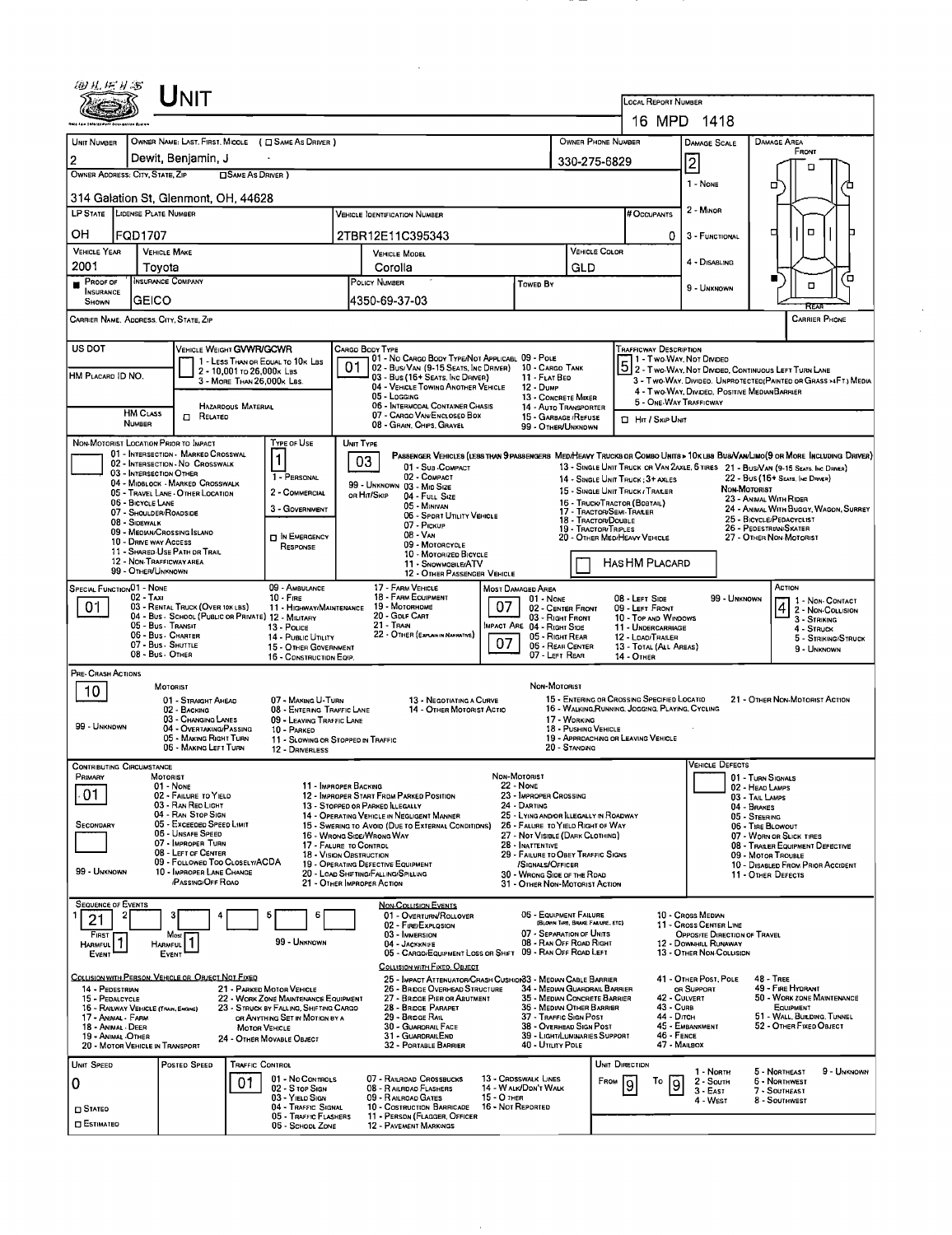|                                                                                                                                                   | Unit                                                                      |                                                                          |                                                       |                                                                                                                               |                                     |                                                                       |                                             |                                                                                                 |                                                                                                           |                                                                                    |                                    |                                                                                     |  |  |
|---------------------------------------------------------------------------------------------------------------------------------------------------|---------------------------------------------------------------------------|--------------------------------------------------------------------------|-------------------------------------------------------|-------------------------------------------------------------------------------------------------------------------------------|-------------------------------------|-----------------------------------------------------------------------|---------------------------------------------|-------------------------------------------------------------------------------------------------|-----------------------------------------------------------------------------------------------------------|------------------------------------------------------------------------------------|------------------------------------|-------------------------------------------------------------------------------------|--|--|
|                                                                                                                                                   |                                                                           |                                                                          |                                                       |                                                                                                                               |                                     |                                                                       |                                             |                                                                                                 | LOCAL REPORT NUMBER                                                                                       | 16 MPD 1418                                                                        |                                    |                                                                                     |  |  |
| UNIT NUMBER                                                                                                                                       | OWNER NAME: LAST, FIRST, MIDDLE ( C SAME AS DRIVER )                      |                                                                          |                                                       |                                                                                                                               | OWNER PHONE NUMBER                  |                                                                       |                                             |                                                                                                 |                                                                                                           |                                                                                    |                                    | DAMAGE AREA                                                                         |  |  |
| 2                                                                                                                                                 | Dewit, Benjamin, J                                                        |                                                                          |                                                       |                                                                                                                               |                                     |                                                                       |                                             |                                                                                                 |                                                                                                           | DAMAGE SCALE                                                                       | FRONT                              |                                                                                     |  |  |
| OWNER ADDRESS: CITY, STATE, ZIP                                                                                                                   |                                                                           | □ SAME AS DRIVER)                                                        |                                                       |                                                                                                                               | 330-275-6829                        |                                                                       |                                             | Ī2                                                                                              |                                                                                                           | Ω                                                                                  |                                    |                                                                                     |  |  |
|                                                                                                                                                   | 314 Galation St, Glenmont, OH, 44628                                      |                                                                          |                                                       |                                                                                                                               |                                     |                                                                       |                                             |                                                                                                 |                                                                                                           | 1 - NONE                                                                           |                                    | о                                                                                   |  |  |
| LP STATE LICENSE PLATE NUMBER                                                                                                                     |                                                                           |                                                                          |                                                       | <b>VEHICLE IDENTIFICATION NUMBER</b>                                                                                          |                                     | 2 - MINOR<br># Occupants                                              |                                             |                                                                                                 |                                                                                                           |                                                                                    |                                    |                                                                                     |  |  |
| OН<br>FQD1707                                                                                                                                     |                                                                           |                                                                          |                                                       | 2TBR12E11C395343                                                                                                              |                                     |                                                                       |                                             |                                                                                                 |                                                                                                           | 3 - FUNCTIONAL                                                                     |                                    | ο<br>п                                                                              |  |  |
| <b>VEHICLE YEAR</b>                                                                                                                               | <b>VEHICLE MAKE</b>                                                       |                                                                          |                                                       | VEHICLE MODEL                                                                                                                 | VEHICLE COLOR                       |                                                                       |                                             | 4 - DISABLING                                                                                   |                                                                                                           |                                                                                    |                                    |                                                                                     |  |  |
| 2001<br>PROOF OF                                                                                                                                  | Tovota<br><b>INSURANCE COMPANY</b>                                        |                                                                          | POLICY NUMBER                                         | Corolla                                                                                                                       |                                     | Towep By                                                              | GLD                                         |                                                                                                 |                                                                                                           |                                                                                    |                                    | Έ                                                                                   |  |  |
| <b>INSURANCE</b><br>SHOWN                                                                                                                         | <b>GEICO</b>                                                              |                                                                          |                                                       | 4350-69-37-03                                                                                                                 | 9 - UNKNOWN                         |                                                                       |                                             |                                                                                                 |                                                                                                           |                                                                                    | o                                  |                                                                                     |  |  |
| CARRIER NAME, ADDRESS, CITY, STATE, ZIP                                                                                                           |                                                                           |                                                                          |                                                       |                                                                                                                               |                                     |                                                                       |                                             |                                                                                                 |                                                                                                           |                                                                                    |                                    | <b>CARRIER PHONE</b>                                                                |  |  |
| US DOT                                                                                                                                            | VEHICLE WEIGHT <b>GVWR/GCWR</b>                                           |                                                                          | CARGO BODY TYPE                                       |                                                                                                                               |                                     |                                                                       |                                             | <b>TRAFFICWAY DESCRIPTION</b>                                                                   |                                                                                                           |                                                                                    |                                    |                                                                                     |  |  |
| HM PLACARD ID NO.                                                                                                                                 |                                                                           | 1 - LESS THAN OR EQUAL TO 10K LBS<br>2 - 10,001 To 26,000x Las           | 01                                                    | 01 - No CARGO BODY TYPE/NOT APPLICABL 09 - POLE<br>02 - Bus/Van (9-15 Seats, Inc Driver) 10 - Cargo Tank                      |                                     |                                                                       |                                             |                                                                                                 |                                                                                                           |                                                                                    |                                    | 1 - T WO-WAY, NOT DIVIDEO<br>5 2 - T WO-WAY, NOT DIVIDEO, CONTINUOUS LEFT TURN LANE |  |  |
|                                                                                                                                                   |                                                                           | 3 - MORE THAN 26,000K LBS.                                               |                                                       | 03 - Bus (16+ Seats, Inc Driver)<br>04 - VEHICLE TOWING ANOTHER VEHICLE<br>05 - Logging                                       |                                     | 11 - FLAT BED<br>12 - DUMP                                            |                                             |                                                                                                 |                                                                                                           | 4 - Two-Way, Divided, Positive Median Barrier                                      |                                    | 3 - Two-Way, Divideo. UNPROTECTEO(PAINTED OR GRASS >4FT.) MEDIA                     |  |  |
| <b>HM CLASS</b>                                                                                                                                   | <b>HAZARDOUS MATERIAL</b>                                                 |                                                                          |                                                       | 06 - INTERMODAL CONTAINER CHASIS<br>07 - CARGO VAN ENCLOSED BOX                                                               |                                     | 13 - CONCRETE MIXER<br>14 - AUTO TRANSPORTER                          |                                             |                                                                                                 |                                                                                                           | 5 - ONE-WAY TRAFFICWAY                                                             |                                    |                                                                                     |  |  |
| <b>NUMBER</b>                                                                                                                                     | $\Box$ Related                                                            |                                                                          |                                                       | 08 - GRAN, CHPS, GRAVEL                                                                                                       |                                     | 15 - GARBAGE / REFUSE<br>99 - OTHER/UNKNOWN                           |                                             | <b>D</b> Hn / Sxip Unit                                                                         |                                                                                                           |                                                                                    |                                    |                                                                                     |  |  |
| NON-MOTORIST LOCATION PRIOR TO IMPACT                                                                                                             | 01 - INTERSECTION - MARKED CROSSWAL                                       | TYPE OF USE                                                              | UNIT TYPE                                             | PASSENGER VEHICLES (LESS THAN 9 PASSENGERS MEDIHEAVY TRUCKS OR COMBO UNITS > 10K LBS BUS/VAN/LIMO(9 OR MORE INCLUDING DRIVER) |                                     |                                                                       |                                             |                                                                                                 |                                                                                                           |                                                                                    |                                    |                                                                                     |  |  |
|                                                                                                                                                   | 02 - INTERSECTION - NO CROSSWALK<br>03 - INTERSECTION OTHER               | $\mathbf{1}$                                                             | 03                                                    | 01 - Sua COMPACT                                                                                                              |                                     |                                                                       |                                             |                                                                                                 |                                                                                                           |                                                                                    |                                    | 13 - SINGLE UNIT TRUCK OR VAN ZAXLE, 6 TIRES 21 - BUS/VAN (9-15 SEATS, INC DRIVER)  |  |  |
|                                                                                                                                                   | 04 - MIDBLOCK - MARKED CROSSWALK<br>05 - TRAVEL LANE - OTHER LOCATION     | 1 - PERSONAL<br>2 - COMMERCIAL                                           | ов Ніт/Sкір                                           | 02 - COMPACT<br>99 - UNKNOWN 03 - MID SIZE                                                                                    |                                     |                                                                       |                                             | 14 - SINGLE UNIT TRUCK: 3+ AXLES<br>15 - SINGLE UNIT TRUCK / TRAILER                            |                                                                                                           | 22 - BUS (16+ SEATS, INC DRIVER)<br>NON-MOTORIST                                   |                                    |                                                                                     |  |  |
| 06 - BICYCLE LANE                                                                                                                                 | 07 - SHOULDER/ROADSIDE                                                    | 3 - GOVERNMENT                                                           |                                                       | 04 - FULL SIZE<br>05 - Minivan                                                                                                |                                     |                                                                       |                                             | 16 - TRUCK/TRACTOR (BOBTAIL)<br>17 - TRACTOR/SEMI-TRAILER                                       |                                                                                                           |                                                                                    |                                    | 23 - ANIMAL WITH RIDER<br>24 - ANIMAL WITH BUGGY, WAGON, SURREY                     |  |  |
| 08 - SIDEWALK                                                                                                                                     | 09 - MEDIAN/CROSSING ISLAND                                               |                                                                          | 06 - SPORT UTILITY VEHICLE<br>07 - Pickup<br>08 - VAN |                                                                                                                               |                                     |                                                                       |                                             | 18 - TRACTOR/DOUBLE<br>19 - TRACTOR/TRIPLES                                                     | 25 - BICYCLE/PEDACYCLIST<br>26 - PEDESTRIAN/SKATER                                                        |                                                                                    |                                    |                                                                                     |  |  |
|                                                                                                                                                   | 10 - DRIVE WAY ACCESS<br>11 - SHARED-USE PATH OR TRAIL                    | IN EMERGENCY<br>RESPONSE                                                 |                                                       | 09 - MOTORCYCLE                                                                                                               |                                     |                                                                       |                                             | 20 - OTHER MED/HEAVY VEHICLE                                                                    |                                                                                                           |                                                                                    |                                    | 27 - OTHER NON-MOTORIST                                                             |  |  |
| 10 - MOTORIZED BICYCLE<br>12 - NON-TRAFFICWAY AREA<br>HAS HM PLACARD<br>11 - SNOWMOBILE/ATV<br>99 - OTHER/UNKNOWN<br>12 - OTHER PASSENGER VEHICLE |                                                                           |                                                                          |                                                       |                                                                                                                               |                                     |                                                                       |                                             |                                                                                                 |                                                                                                           |                                                                                    |                                    |                                                                                     |  |  |
| <b>SPECIAL FUNCTION01 - NONE</b>                                                                                                                  |                                                                           | 09 - AMBULANCE                                                           |                                                       | 17 - FARM VEHICLE                                                                                                             |                                     | MOST DAMAGED AREA                                                     |                                             |                                                                                                 |                                                                                                           |                                                                                    |                                    | ACTION                                                                              |  |  |
| $02 - TAXI$<br>01                                                                                                                                 | 03 - RENTAL TRUCK (OVER 10K LBS)                                          | $10 -$ FiRE<br>11 - HIGHWAY/MAINTENANCE                                  |                                                       | 18 - FARM EQUIPMENT<br>01 - NONE<br>19 - Мотовноме<br>07<br>02 - CENTER FRONT<br>20 - GDLF CART                               |                                     |                                                                       |                                             |                                                                                                 | 99 - Unknown<br>08 - LEFT SIDE<br>1 - Non-Contact<br>$42 - \frac{2}{5}$ - Non-Coursion<br>09 - LEFT FRONT |                                                                                    |                                    |                                                                                     |  |  |
|                                                                                                                                                   | 04 - Bus - SCHOOL (PUBLIC OR PRIVATE) 12 - MILITARY<br>05 - Bus - Transit | 13 Pouce<br>14 - Pusuc UTILITY                                           |                                                       | 21 - Train<br>22 - OTHER (EXPLAN IN NARRATIVE)                                                                                |                                     | 03 - Right Front<br>MPACT ARE 04 - RIGHT SIDE                         |                                             | 10 - TOP AND WINDOWS<br>11 - UNDERCARRIAGE                                                      |                                                                                                           |                                                                                    |                                    | 3 - STRIKING<br>4 - Struck                                                          |  |  |
|                                                                                                                                                   | 06 - Bus - Charter<br>07 - Bus - SHUTTLE<br>08 - Bus - OTHER              | 15 - OTHER GOVERNMENT                                                    |                                                       | 07                                                                                                                            | 05 - Right Rear<br>06 - REAR CENTER |                                                                       | 12 - LOAD/TRAILER<br>13 - TOTAL (ALL AREAS) |                                                                                                 |                                                                                                           |                                                                                    | 5 - STRIKING/STRUCK<br>9 - UNKNOWN |                                                                                     |  |  |
| PRE- CRASH ACTIONS                                                                                                                                |                                                                           | 16 - CONSTRUCTION EQIP.                                                  |                                                       |                                                                                                                               |                                     | 07 - LEFT REAR                                                        |                                             | 14 - OTHER                                                                                      |                                                                                                           |                                                                                    |                                    |                                                                                     |  |  |
| 10                                                                                                                                                | <b>MOTORIST</b>                                                           |                                                                          |                                                       |                                                                                                                               |                                     | NON-MOTORIST                                                          |                                             |                                                                                                 |                                                                                                           |                                                                                    |                                    |                                                                                     |  |  |
|                                                                                                                                                   | 01 - STRAIGHT AHEAD<br>02 - BACKING                                       | 07 - MAKING U-TURN<br>08 - ENTERING TRAFFIC LANE                         |                                                       | 13 - NEGOTIATING A CURVE<br>14 - OTHER MOTORIST ACTIO                                                                         |                                     |                                                                       |                                             | 15 - ENTERING OR CROSSING SPECIFIED LOCATIO<br>16 - WALKING, RUNNING, JOGGING, PLAYING, CYCLING |                                                                                                           |                                                                                    |                                    | 21 - OTHER NON-MOTORIST ACTION                                                      |  |  |
| 99 - UNKNOWN                                                                                                                                      | 03 - CHANGING LANES<br>04 - OVERTAKING/PASSING                            | 09 - LEAVING TRAFFIC LANE<br>10 - PARKED                                 |                                                       |                                                                                                                               |                                     |                                                                       | 17 - WORKING<br>18 - PUSHING VEHICLE        |                                                                                                 |                                                                                                           |                                                                                    |                                    |                                                                                     |  |  |
|                                                                                                                                                   | 05 - MAKING RIGHT TURN<br>06 - MAKING LEFT TURN                           | 11 - SLOWING OR STOPPED IN TRAFFIC<br>12 - DRNERLESS                     |                                                       |                                                                                                                               |                                     |                                                                       | 20 - STANDING                               | 19 - APPROACHING OR LEAVING VEHICLE                                                             |                                                                                                           |                                                                                    |                                    |                                                                                     |  |  |
| <b>CONTRIBUTING CIRCUMSTANCE</b><br>Primary                                                                                                       | MOTORIST                                                                  |                                                                          |                                                       |                                                                                                                               | NON-MOTORIST                        |                                                                       |                                             |                                                                                                 |                                                                                                           | <b>VEHICLE DEFECTS</b>                                                             | 01 - TURN SIGNALS                  |                                                                                     |  |  |
| -01                                                                                                                                               | 01 - NONE<br>02 - FAILURE TO YIELD                                        |                                                                          | 11 - IMPROPER BACKING                                 | 12 - IMPROPER START FROM PARKED POSITION                                                                                      |                                     | <b>22 - NONE</b><br>23 - IMPROPER CROSSING                            |                                             |                                                                                                 |                                                                                                           |                                                                                    | 02 - HEAD LAMPS<br>03 - TAIL LAMPS |                                                                                     |  |  |
|                                                                                                                                                   | 03 - RAN RED LIGHT<br>04 - RAN STOP SIGN                                  |                                                                          | 13 - STOPPED OR PARKED ILLEGALLY                      | 14 - OPERATING VEHICLE IN NEGLIGENT MANNER                                                                                    |                                     | 24 - DARTING<br>25 - LYING AND/OR ILLEGALLY IN ROADWAY                |                                             |                                                                                                 |                                                                                                           |                                                                                    | 04 - BRAKES<br>05 - STEERING       |                                                                                     |  |  |
| <b>SECONDARY</b>                                                                                                                                  | 05 - Exceeped Speed Limit<br>06 - UNSAFE SPEED                            |                                                                          | 16 - Wrong Side/Wrong Way                             | 15 - Swering to Avoid (Due to External Conditions)                                                                            |                                     | 26 - FALURE TO YIELD RIGHT OF WAY<br>27 - NOT VISIBLE (DARK CLOTHING) |                                             |                                                                                                 |                                                                                                           |                                                                                    | 06 - TIRE BLOWOUT                  |                                                                                     |  |  |
|                                                                                                                                                   | 07 - IMPROPER TURN<br>08 - LEFT OF CENTER                                 |                                                                          | 17 - FALURE TO CONTROL<br>18 - VISION OBSTRUCTION     |                                                                                                                               |                                     | 28 - INATTENTIVE<br>29 - FAILURE TO OBEY TRAFFIC SIGNS                |                                             |                                                                                                 |                                                                                                           | 07 - WORN OR SLICK TIRES<br>08 - TRAILER EQUIPMENT DEFECTIVE<br>09 - MOTOR TROUBLE |                                    |                                                                                     |  |  |
| 99 - UNKNOWN                                                                                                                                      | 09 - FOLLOWED TOO CLOSELY/ACDA<br>10 - IMPROPER LANE CHANGE               |                                                                          | 20 - LOAD SHIFTING/FALLING/SPILLING                   | 19 - OPERATING DEFECTIVE EQUIPMENT                                                                                            |                                     | /SIGNALS/OFFICER<br>30 - WRONG SIDE OF THE ROAD                       |                                             |                                                                                                 |                                                                                                           |                                                                                    |                                    | 10 - DISABLED FROM PRIOR ACCIDENT<br>11 - OTHER DEFECTS                             |  |  |
|                                                                                                                                                   | <b>PASSING/OFF ROAD</b>                                                   |                                                                          | 21 - OTHER IMPROPER ACTION                            |                                                                                                                               |                                     | 31 - OTHER NON-MOTORIST ACTION                                        |                                             |                                                                                                 |                                                                                                           |                                                                                    |                                    |                                                                                     |  |  |
| <b>SEQUENCE OF EVENTS</b><br>21                                                                                                                   |                                                                           | 5<br>6                                                                   |                                                       | <b>NON-COLLISION EVENTS</b><br>01 - OVERTURN/ROLLOVER                                                                         |                                     | 06 - EQUIPMENT FAILURE                                                |                                             |                                                                                                 |                                                                                                           | 10 - Cross Median                                                                  |                                    |                                                                                     |  |  |
| FIRST                                                                                                                                             | Most                                                                      |                                                                          |                                                       | 02 - FIRE/EXPLOSION<br>03 - IMMERSION                                                                                         |                                     | 07 - SEPARATION OF UNITS                                              | (BLOWN TIRE, BRAKE FALURE, ETC)             |                                                                                                 |                                                                                                           | 11 - Cross CENTER LINE<br>OPPOSITE DIRECTION OF TRAVEL                             |                                    |                                                                                     |  |  |
| 1<br><b>HARMFUL</b><br>EVENT                                                                                                                      | <b>HARMFUL</b><br>EVENT                                                   | 99 - UNKNOWN                                                             |                                                       | 04 - JACKKNIFE<br>05 - CARGO/EQUIPMENT LOSS OR SHIFT                                                                          |                                     | 08 - RAN OFF ROAD RIGHT<br>09 - RAN OFF ROAD LEFT                     |                                             |                                                                                                 |                                                                                                           | 12 - DOWNHILL RUNAWAY<br>13 - OTHER NON-COLLISION                                  |                                    |                                                                                     |  |  |
|                                                                                                                                                   | COLLISION WITH PERSON, VEHICLE OR OBJECT NOT FIXED                        |                                                                          |                                                       | COLLISION WITH FIXED, OBJECT<br>25 - IMPACT ATTENUATOR/CRASH CUSHION33 - MEDIAN CABLE BARRIER                                 |                                     |                                                                       |                                             |                                                                                                 |                                                                                                           | 41 - OTHER POST, POLE                                                              |                                    | <b>48 - TREE</b>                                                                    |  |  |
| 14 - PEDESTRIAN<br>15 - PEDALCYCLE                                                                                                                |                                                                           | 21 - PARKED MOTOR VEHICLE<br>22 - WORK ZONE MAINTENANCE EQUIPMENT        |                                                       | 26 BRIDGE OVERHEAD STRUCTURE<br>27 - BRIDGE PIER OR ABUTMENT                                                                  |                                     | 34 - MEDIAN GUARDRAIL BARRIER<br>35 - MEDIAN CONCRETE BARRIER         |                                             |                                                                                                 | 42 - CULVERT                                                                                              | OR SUPPORT                                                                         |                                    | 49 - FIRE HYDRANT<br>50 - WORK ZONE MAINTENANCE                                     |  |  |
| 16 - RAILWAY VEHICLE (TRAN, ENGINE)<br>17 - ANIMAL - FARM                                                                                         |                                                                           | 23 - STRUCK BY FALLING, SHIFTING CARGO<br>OR ANYTHING SET IN MOTION BY A |                                                       | 28 - BRIDGE PARAPET<br>29 - BROGE RAIL                                                                                        |                                     | 36 - MEDIAN OTHER BARRIER<br>37 - TRAFFIC SIGN POST                   |                                             |                                                                                                 | 43 - CURB<br>44 - Олсн                                                                                    |                                                                                    |                                    | EQUIPMENT<br>51 - WALL, BUILDING, TUNNEL                                            |  |  |
| 18 - Animal - Deer<br>19 - ANIMAL OTHER                                                                                                           |                                                                           | <b>MOTOR VEHICLE</b><br>24 - Отнек Моуавце Овлест                        |                                                       | 30 - GUARORAIL FACE<br>31 - GUARDRAILEND                                                                                      |                                     | 38 - OVERHEAD SIGN POST<br>39 - LIGHT/LUMINARIES SUPPORT              |                                             |                                                                                                 | 46 - FENCE                                                                                                | 45 - EMBANKMENT                                                                    |                                    | 52 - Отнев Fixep Овлест                                                             |  |  |
| 20 - MOTOR VEHICLE IN TRANSPORT                                                                                                                   |                                                                           |                                                                          |                                                       | 32 - PORTABLE BARRIER                                                                                                         |                                     | 40 - UTILITY POLE                                                     |                                             |                                                                                                 | 47 - MAILBOX                                                                                              |                                                                                    |                                    |                                                                                     |  |  |
| UNIT SPEED                                                                                                                                        | POSTED SPEED                                                              | TRAFFIC CONTROL<br>01 - No Controls                                      |                                                       | 07 - RAILRDAD CROSSBUCKS                                                                                                      |                                     | 13 - CROSSWALK LINES                                                  |                                             | UNIT DIRECTION                                                                                  |                                                                                                           | 1 - North                                                                          |                                    | 5 - NORTHEAST<br>9 - UNKNOWN                                                        |  |  |
| 0                                                                                                                                                 | 01                                                                        | 02 - S TOP SIGN<br>03 - YIELD SIGN                                       |                                                       | 08 - RAILRDAD FLASHERS<br>09 - RAILROAD GATES                                                                                 | 15 - O THER                         | 14 WALK/DON'T WALK                                                    |                                             | FROM<br>9                                                                                       | То<br>9                                                                                                   | 2 - South<br>$3 - EAST$                                                            |                                    | <b>6 - Northwest</b><br>7 - Southeast                                               |  |  |
| $\square$ Stateo                                                                                                                                  |                                                                           | 04 - TRAFFIC SIGNAL<br>05 - TRAFFIC FLASHERS                             |                                                       | 10 - Costruction Barricade<br>11 - PERSON (FLAGGER, OFFICER                                                                   | 16 - Not Reported                   |                                                                       |                                             |                                                                                                 |                                                                                                           | 4 - West                                                                           |                                    | 8 - SOUTHWEST                                                                       |  |  |
| <b>O ESTIMATEO</b>                                                                                                                                |                                                                           | 06 - School Zone                                                         |                                                       | <b>12 - PAVEMENT MARKINGS</b>                                                                                                 |                                     |                                                                       |                                             |                                                                                                 |                                                                                                           |                                                                                    |                                    |                                                                                     |  |  |

 $\ddot{\phantom{0}}$ 

 $\mathcal{L}^{\text{max}}_{\text{max}}$  and  $\mathcal{L}^{\text{max}}_{\text{max}}$ 

 $\sim$   $-$ 

 $\frac{1}{\sqrt{2}}\sum_{i=1}^{n} \frac{1}{\sqrt{2}}\left(\frac{1}{\sqrt{2}}\right)^2\left(\frac{1}{\sqrt{2}}\right)^2.$